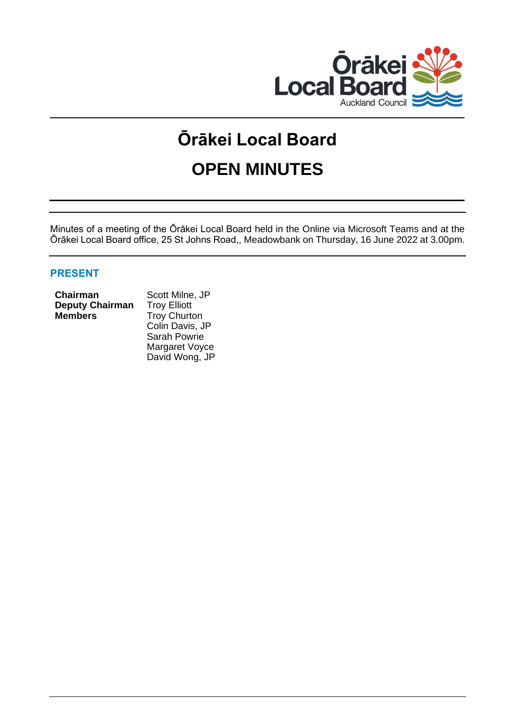

# **Ōrākei Local Board OPEN MINUTES**

Minutes of a meeting of the Ōrākei Local Board held in the Online via Microsoft Teams and at the Ōrākei Local Board office, 25 St Johns Road,, Meadowbank on Thursday, 16 June 2022 at 3.00pm.

# **PRESENT**

#### **Chairman** Scott Milne, JP **Deputy Chairman** Troy Elliott **Members** Troy Churton

Colin Davis, JP Sarah Powrie Margaret Voyce David Wong, JP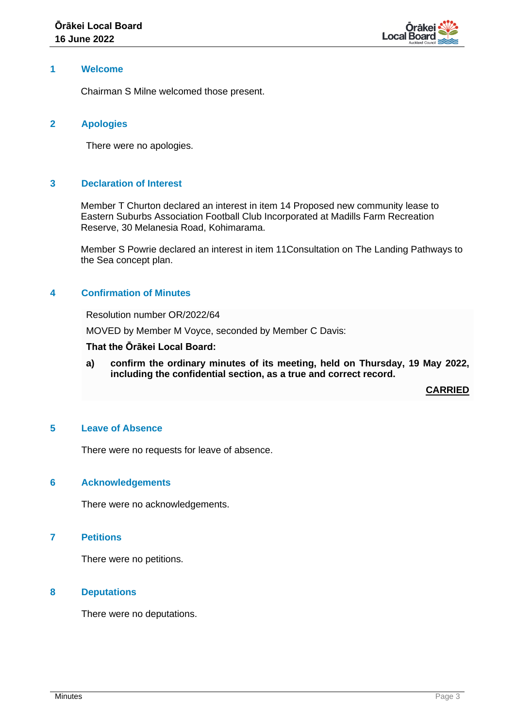

#### **1 Welcome**

Chairman S Milne welcomed those present.

#### **2 Apologies**

There were no apologies.

# **3 Declaration of Interest**

Member T Churton declared an interest in item 14 Proposed new community lease to Eastern Suburbs Association Football Club Incorporated at Madills Farm Recreation Reserve, 30 Melanesia Road, Kohimarama.

Member S Powrie declared an interest in item 11Consultation on The Landing Pathways to the Sea concept plan.

#### **4 Confirmation of Minutes**

Resolution number OR/2022/64

MOVED by Member M Voyce, seconded by Member C Davis:

**That the Ōrākei Local Board:**

**a) confirm the ordinary minutes of its meeting, held on Thursday, 19 May 2022, including the confidential section, as a true and correct record.**

**CARRIED**

#### **5 Leave of Absence**

There were no requests for leave of absence.

#### **6 Acknowledgements**

There were no acknowledgements.

#### **7 Petitions**

There were no petitions.

#### **8 Deputations**

There were no deputations.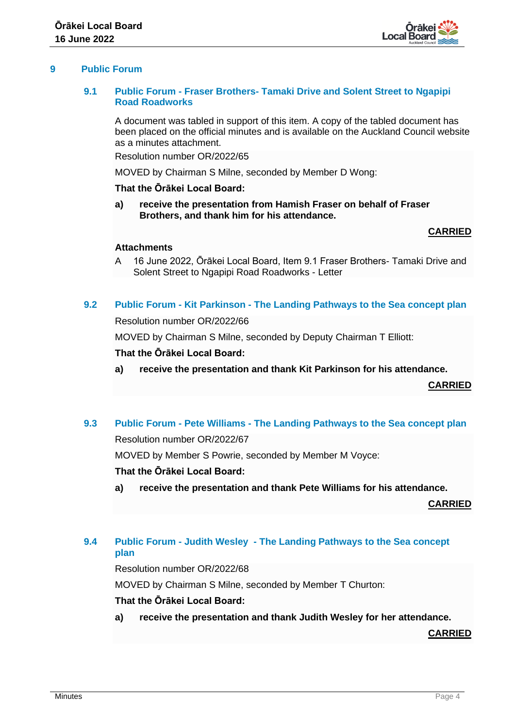

# **9 Public Forum**

#### **9.1 Public Forum - Fraser Brothers- Tamaki Drive and Solent Street to Ngapipi Road Roadworks**

A document was tabled in support of this item. A copy of the tabled document has been placed on the official minutes and is available on the Auckland Council website as a minutes attachment.

Resolution number OR/2022/65

MOVED by Chairman S Milne, seconded by Member D Wong:

#### **That the Ōrākei Local Board:**

**a) receive the presentation from Hamish Fraser on behalf of Fraser Brothers, and thank him for his attendance.**

#### **CARRIED**

#### **Attachments**

- A 16 June 2022, Ōrākei Local Board, Item 9.1 Fraser Brothers- Tamaki Drive and Solent Street to Ngapipi Road Roadworks - Letter
- **9.2 Public Forum - Kit Parkinson - The Landing Pathways to the Sea concept plan**

Resolution number OR/2022/66

MOVED by Chairman S Milne, seconded by Deputy Chairman T Elliott:

#### **That the Ōrākei Local Board:**

**a) receive the presentation and thank Kit Parkinson for his attendance.**

**CARRIED**

# **9.3 Public Forum - Pete Williams - The Landing Pathways to the Sea concept plan**

Resolution number OR/2022/67

MOVED by Member S Powrie, seconded by Member M Voyce:

#### **That the Ōrākei Local Board:**

**a) receive the presentation and thank Pete Williams for his attendance.**

**CARRIED**

# **9.4 Public Forum - Judith Wesley - The Landing Pathways to the Sea concept plan**

Resolution number OR/2022/68

MOVED by Chairman S Milne, seconded by Member T Churton:

# **That the Ōrākei Local Board:**

**a) receive the presentation and thank Judith Wesley for her attendance.**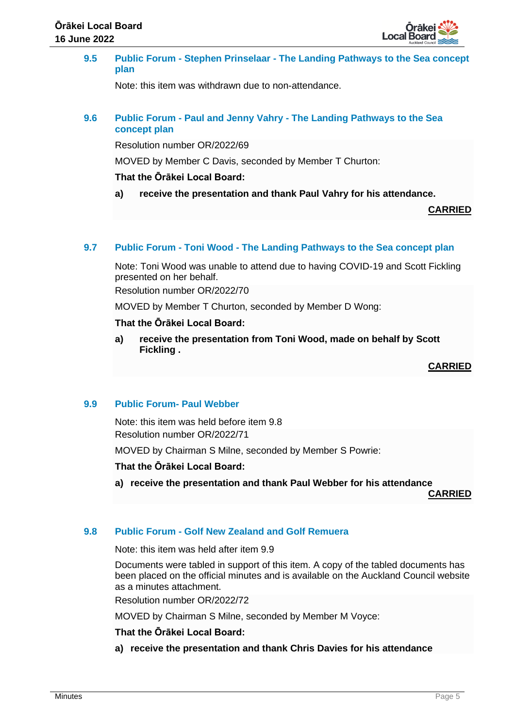

**9.5 Public Forum - Stephen Prinselaar - The Landing Pathways to the Sea concept plan**

Note: this item was withdrawn due to non-attendance.

# **9.6 Public Forum - Paul and Jenny Vahry - The Landing Pathways to the Sea concept plan**

Resolution number OR/2022/69

MOVED by Member C Davis, seconded by Member T Churton:

# **That the Ōrākei Local Board:**

**a) receive the presentation and thank Paul Vahry for his attendance.**

**CARRIED**

# **9.7 Public Forum - Toni Wood - The Landing Pathways to the Sea concept plan**

Note: Toni Wood was unable to attend due to having COVID-19 and Scott Fickling presented on her behalf.

Resolution number OR/2022/70

MOVED by Member T Churton, seconded by Member D Wong:

# **That the Ōrākei Local Board:**

**a) receive the presentation from Toni Wood, made on behalf by Scott Fickling .**

**CARRIED**

# **9.9 Public Forum- Paul Webber**

Note: this item was held before item 9.8 Resolution number OR/2022/71

MOVED by Chairman S Milne, seconded by Member S Powrie:

# **That the Ōrākei Local Board:**

**a) receive the presentation and thank Paul Webber for his attendance**

**CARRIED**

# **9.8 Public Forum - Golf New Zealand and Golf Remuera**

Note: this item was held after item 9.9

Documents were tabled in support of this item. A copy of the tabled documents has been placed on the official minutes and is available on the Auckland Council website as a minutes attachment.

Resolution number OR/2022/72

MOVED by Chairman S Milne, seconded by Member M Voyce:

# **That the Ōrākei Local Board:**

**a) receive the presentation and thank Chris Davies for his attendance**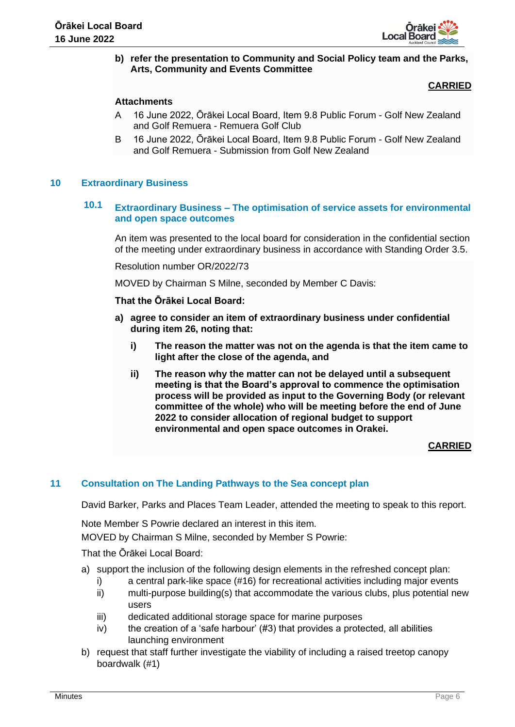

# **b) refer the presentation to Community and Social Policy team and the Parks, Arts, Community and Events Committee**

# **CARRIED**

# **Attachments**

- A 16 June 2022, Ōrākei Local Board, Item 9.8 Public Forum Golf New Zealand and Golf Remuera - Remuera Golf Club
- B 16 June 2022, Ōrākei Local Board, Item 9.8 Public Forum Golf New Zealand and Golf Remuera - Submission from Golf New Zealand

# **10 Extraordinary Business**

# **10.1 Extraordinary Business – The optimisation of service assets for environmental and open space outcomes**

An item was presented to the local board for consideration in the confidential section of the meeting under extraordinary business in accordance with Standing Order 3.5.

Resolution number OR/2022/73

MOVED by Chairman S Milne, seconded by Member C Davis:

#### **That the Ōrākei Local Board:**

- **a) agree to consider an item of extraordinary business under confidential during item 26, noting that:**
	- **i) The reason the matter was not on the agenda is that the item came to light after the close of the agenda, and**
	- **ii) The reason why the matter can not be delayed until a subsequent meeting is that the Board's approval to commence the optimisation process will be provided as input to the Governing Body (or relevant committee of the whole) who will be meeting before the end of June 2022 to consider allocation of regional budget to support environmental and open space outcomes in Orakei.**

# **CARRIED**

# **11 Consultation on The Landing Pathways to the Sea concept plan**

David Barker, Parks and Places Team Leader, attended the meeting to speak to this report.

Note Member S Powrie declared an interest in this item.

MOVED by Chairman S Milne, seconded by Member S Powrie:

- a) support the inclusion of the following design elements in the refreshed concept plan:
	- i) a central park-like space (#16) for recreational activities including major events
	- ii) multi-purpose building(s) that accommodate the various clubs, plus potential new users
	- iii) dedicated additional storage space for marine purposes
	- $iv)$  the creation of a 'safe harbour' (#3) that provides a protected, all abilities launching environment
- b) request that staff further investigate the viability of including a raised treetop canopy boardwalk (#1)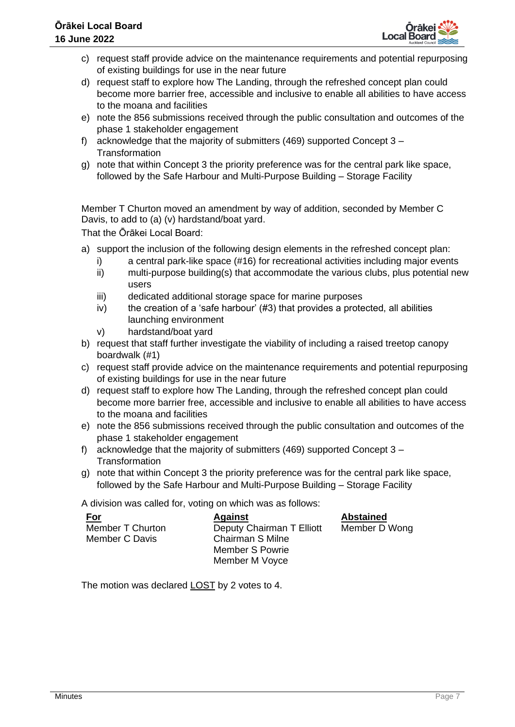

- c) request staff provide advice on the maintenance requirements and potential repurposing of existing buildings for use in the near future
- d) request staff to explore how The Landing, through the refreshed concept plan could become more barrier free, accessible and inclusive to enable all abilities to have access to the moana and facilities
- e) note the 856 submissions received through the public consultation and outcomes of the phase 1 stakeholder engagement
- f) acknowledge that the majority of submitters (469) supported Concept 3 **Transformation**
- g) note that within Concept 3 the priority preference was for the central park like space, followed by the Safe Harbour and Multi-Purpose Building – Storage Facility

Member T Churton moved an amendment by way of addition, seconded by Member C Davis, to add to (a) (v) hardstand/boat yard.

That the Ōrākei Local Board:

- a) support the inclusion of the following design elements in the refreshed concept plan:
	- i) a central park-like space (#16) for recreational activities including major events
	- ii) multi-purpose building(s) that accommodate the various clubs, plus potential new users
	- iii) dedicated additional storage space for marine purposes
	- iv) the creation of a 'safe harbour'  $(H3)$  that provides a protected, all abilities launching environment
	- v) hardstand/boat yard
- b) request that staff further investigate the viability of including a raised treetop canopy boardwalk (#1)
- c) request staff provide advice on the maintenance requirements and potential repurposing of existing buildings for use in the near future
- d) request staff to explore how The Landing, through the refreshed concept plan could become more barrier free, accessible and inclusive to enable all abilities to have access to the moana and facilities
- e) note the 856 submissions received through the public consultation and outcomes of the phase 1 stakeholder engagement
- f) acknowledge that the majority of submitters (469) supported Concept 3 **Transformation**
- g) note that within Concept 3 the priority preference was for the central park like space, followed by the Safe Harbour and Multi-Purpose Building – Storage Facility

A division was called for, voting on which was as follows:

| <u>For</u>              | <b>Against</b>            | <b>Abstained</b> |
|-------------------------|---------------------------|------------------|
| <b>Member T Churton</b> | Deputy Chairman T Elliott | Member D Wong    |
| Member C Davis          | <b>Chairman S Milne</b>   |                  |
|                         | Member S Powrie           |                  |
|                         | Member M Voyce            |                  |

The motion was declared LOST by 2 votes to 4.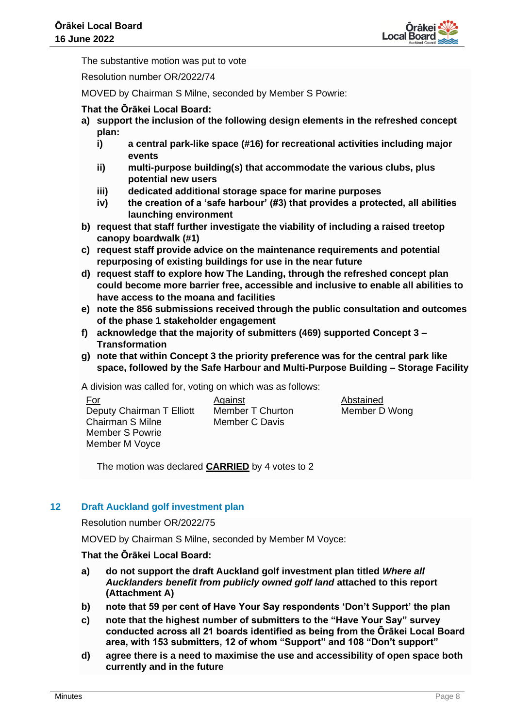

The substantive motion was put to vote

Resolution number OR/2022/74

MOVED by Chairman S Milne, seconded by Member S Powrie:

# **That the Ōrākei Local Board:**

- **a) support the inclusion of the following design elements in the refreshed concept plan:**
	- **i) a central park-like space (#16) for recreational activities including major events**
	- **ii) multi-purpose building(s) that accommodate the various clubs, plus potential new users**
	- **iii) dedicated additional storage space for marine purposes**
	- **iv) the creation of a 'safe harbour' (#3) that provides a protected, all abilities launching environment**
- **b) request that staff further investigate the viability of including a raised treetop canopy boardwalk (#1)**
- **c) request staff provide advice on the maintenance requirements and potential repurposing of existing buildings for use in the near future**
- **d) request staff to explore how The Landing, through the refreshed concept plan could become more barrier free, accessible and inclusive to enable all abilities to have access to the moana and facilities**
- **e) note the 856 submissions received through the public consultation and outcomes of the phase 1 stakeholder engagement**
- **f) acknowledge that the majority of submitters (469) supported Concept 3 – Transformation**
- **g) note that within Concept 3 the priority preference was for the central park like space, followed by the Safe Harbour and Multi-Purpose Building – Storage Facility**

A division was called for, voting on which was as follows:

| For                       |
|---------------------------|
| Deputy Chairman T Elliott |
| Chairman S Milne          |
| <b>Member S Powrie</b>    |
| Member M Voyce            |

Against Member T Churton Member C Davis

Abstained Member D Wong

The motion was declared **CARRIED** by 4 votes to 2

# **12 Draft Auckland golf investment plan**

Resolution number OR/2022/75

MOVED by Chairman S Milne, seconded by Member M Voyce:

- **a) do not support the draft Auckland golf investment plan titled** *Where all Aucklanders benefit from publicly owned golf land* **attached to this report (Attachment A)**
- **b) note that 59 per cent of Have Your Say respondents 'Don't Support' the plan**
- **c) note that the highest number of submitters to the "Have Your Say" survey conducted across all 21 boards identified as being from the Ōrākei Local Board area, with 153 submitters, 12 of whom "Support" and 108 "Don't support"**
- **d) agree there is a need to maximise the use and accessibility of open space both currently and in the future**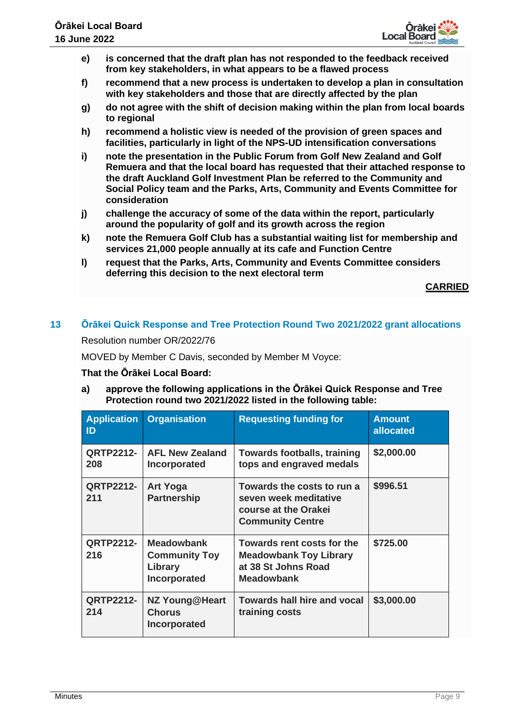

- **e) is concerned that the draft plan has not responded to the feedback received from key stakeholders, in what appears to be a flawed process**
- **f) recommend that a new process is undertaken to develop a plan in consultation with key stakeholders and those that are directly affected by the plan**
- **g) do not agree with the shift of decision making within the plan from local boards to regional**
- **h) recommend a holistic view is needed of the provision of green spaces and facilities, particularly in light of the NPS-UD intensification conversations**
- **i) note the presentation in the Public Forum from Golf New Zealand and Golf Remuera and that the local board has requested that their attached response to the draft Auckland Golf Investment Plan be referred to the Community and Social Policy team and the Parks, Arts, Community and Events Committee for consideration**
- **j) challenge the accuracy of some of the data within the report, particularly around the popularity of golf and its growth across the region**
- **k) note the Remuera Golf Club has a substantial waiting list for membership and services 21,000 people annually at its cafe and Function Centre**
- **l) request that the Parks, Arts, Community and Events Committee considers deferring this decision to the next electoral term**

**CARRIED**

# **13 Ōrākei Quick Response and Tree Protection Round Two 2021/2022 grant allocations**

Resolution number OR/2022/76

MOVED by Member C Davis, seconded by Member M Voyce:

# **That the Ōrākei Local Board:**

**a) approve the following applications in the Ōrākei Quick Response and Tree Protection round two 2021/2022 listed in the following table:**

| <b>Application</b><br>$\mathsf{ID}$ | <b>Organisation</b>                                                  | <b>Requesting funding for</b>                                                                           | <b>Amount</b><br>allocated |
|-------------------------------------|----------------------------------------------------------------------|---------------------------------------------------------------------------------------------------------|----------------------------|
| <b>QRTP2212-</b><br>208             | <b>AFL New Zealand</b><br>Incorporated                               | <b>Towards footballs, training</b><br>tops and engraved medals                                          | \$2,000.00                 |
| <b>QRTP2212-</b><br>211             | <b>Art Yoga</b><br><b>Partnership</b>                                | Towards the costs to run a<br>seven week meditative<br>course at the Orakei<br><b>Community Centre</b>  | \$996.51                   |
| <b>QRTP2212-</b><br>216             | <b>Meadowbank</b><br><b>Community Toy</b><br>Library<br>Incorporated | Towards rent costs for the<br><b>Meadowbank Toy Library</b><br>at 38 St Johns Road<br><b>Meadowbank</b> | \$725.00                   |
| <b>QRTP2212-</b><br>214             | <b>NZ Young@Heart</b><br><b>Chorus</b><br>Incorporated               | <b>Towards hall hire and vocal</b><br>training costs                                                    | \$3,000.00                 |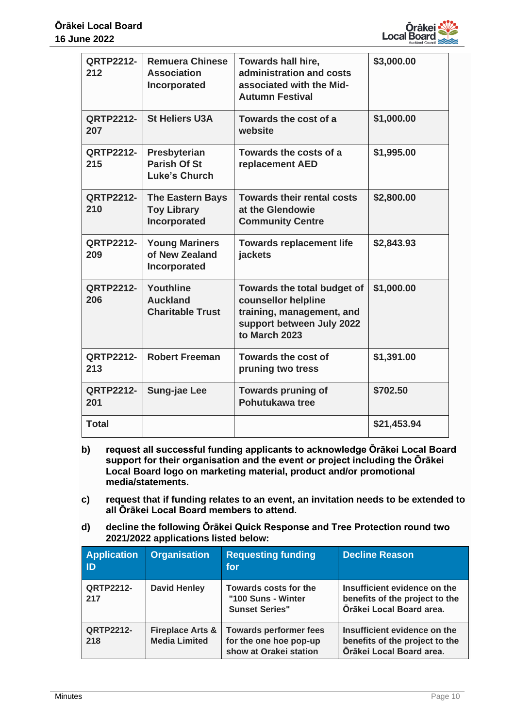

| <b>QRTP2212-</b><br>212 | <b>Remuera Chinese</b><br><b>Association</b><br>Incorporated  | Towards hall hire,<br>administration and costs<br>associated with the Mid-<br><b>Autumn Festival</b>                          | \$3,000.00  |
|-------------------------|---------------------------------------------------------------|-------------------------------------------------------------------------------------------------------------------------------|-------------|
| <b>QRTP2212-</b><br>207 | <b>St Heliers U3A</b>                                         | Towards the cost of a<br>website                                                                                              | \$1,000.00  |
| <b>QRTP2212-</b><br>215 | Presbyterian<br><b>Parish Of St</b><br><b>Luke's Church</b>   | Towards the costs of a<br>replacement AED                                                                                     | \$1,995.00  |
| <b>QRTP2212-</b><br>210 | <b>The Eastern Bays</b><br><b>Toy Library</b><br>Incorporated | <b>Towards their rental costs</b><br>at the Glendowie<br><b>Community Centre</b>                                              | \$2,800.00  |
| <b>QRTP2212-</b><br>209 | <b>Young Mariners</b><br>of New Zealand<br>Incorporated       | <b>Towards replacement life</b><br>jackets                                                                                    | \$2,843.93  |
| <b>QRTP2212-</b><br>206 | Youthline<br><b>Auckland</b><br><b>Charitable Trust</b>       | Towards the total budget of<br>counsellor helpline<br>training, management, and<br>support between July 2022<br>to March 2023 | \$1,000.00  |
| <b>QRTP2212-</b><br>213 | <b>Robert Freeman</b>                                         | Towards the cost of<br>pruning two tress                                                                                      | \$1,391.00  |
| <b>QRTP2212-</b><br>201 | <b>Sung-jae Lee</b>                                           | <b>Towards pruning of</b><br>Pohutukawa tree                                                                                  | \$702.50    |
| <b>Total</b>            |                                                               |                                                                                                                               | \$21,453.94 |

- **b) request all successful funding applicants to acknowledge Ōrākei Local Board support for their organisation and the event or project including the Ōrākei Local Board logo on marketing material, product and/or promotional media/statements.**
- **c) request that if funding relates to an event, an invitation needs to be extended to all Ōrākei Local Board members to attend.**
- **d) decline the following Ōrākei Quick Response and Tree Protection round two 2021/2022 applications listed below:**

| <b>Application</b><br>ID | <b>Organisation</b>                                 | <b>Requesting funding</b><br>for                                                  | <b>Decline Reason</b>                                                                      |
|--------------------------|-----------------------------------------------------|-----------------------------------------------------------------------------------|--------------------------------------------------------------------------------------------|
| <b>QRTP2212-</b><br>217  | <b>David Henley</b>                                 | Towards costs for the<br>"100 Suns - Winter<br><b>Sunset Series"</b>              | Insufficient evidence on the<br>benefits of the project to the<br>Örākei Local Board area. |
| <b>QRTP2212-</b><br>218  | <b>Fireplace Arts &amp;</b><br><b>Media Limited</b> | <b>Towards performer fees</b><br>for the one hoe pop-up<br>show at Orakei station | Insufficient evidence on the<br>benefits of the project to the<br>Ōrākei Local Board area. |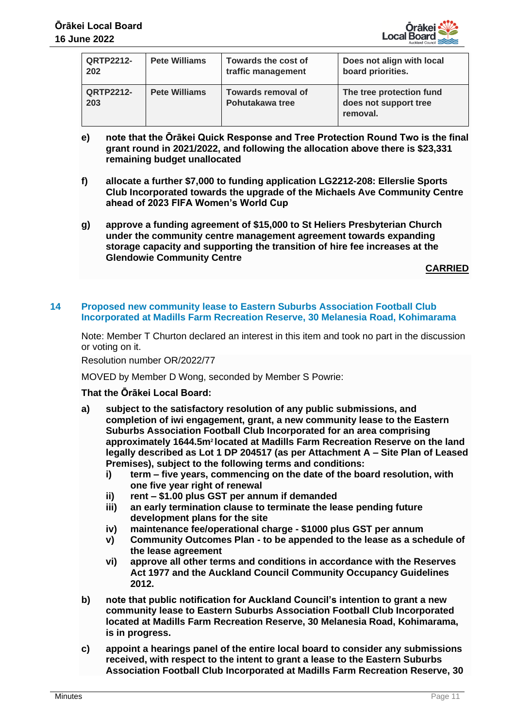

| <b>QRTP2212-</b><br>202 | <b>Pete Williams</b> | Towards the cost of<br>traffic management    | Does not align with local<br>board priorities.                |
|-------------------------|----------------------|----------------------------------------------|---------------------------------------------------------------|
| <b>QRTP2212-</b><br>203 | <b>Pete Williams</b> | <b>Towards removal of</b><br>Pohutakawa tree | The tree protection fund<br>does not support tree<br>removal. |

- **e) note that the Ōrākei Quick Response and Tree Protection Round Two is the final grant round in 2021/2022, and following the allocation above there is \$23,331 remaining budget unallocated**
- **f) allocate a further \$7,000 to funding application LG2212-208: Ellerslie Sports Club Incorporated towards the upgrade of the Michaels Ave Community Centre ahead of 2023 FIFA Women's World Cup**
- **g) approve a funding agreement of \$15,000 to St Heliers Presbyterian Church under the community centre management agreement towards expanding storage capacity and supporting the transition of hire fee increases at the Glendowie Community Centre**

**CARRIED**

#### **14 Proposed new community lease to Eastern Suburbs Association Football Club Incorporated at Madills Farm Recreation Reserve, 30 Melanesia Road, Kohimarama**

Note: Member T Churton declared an interest in this item and took no part in the discussion or voting on it.

Resolution number OR/2022/77

MOVED by Member D Wong, seconded by Member S Powrie:

- **a) subject to the satisfactory resolution of any public submissions, and completion of iwi engagement, grant, a new community lease to the Eastern Suburbs Association Football Club Incorporated for an area comprising approximately 1644.5m2 located at Madills Farm Recreation Reserve on the land legally described as Lot 1 DP 204517 (as per Attachment A – Site Plan of Leased Premises), subject to the following terms and conditions:**
	- **i) term – five years, commencing on the date of the board resolution, with one five year right of renewal**
	- **ii) rent – \$1.00 plus GST per annum if demanded**
	- **iii) an early termination clause to terminate the lease pending future development plans for the site**
	- **iv) maintenance fee/operational charge - \$1000 plus GST per annum**
	- **v) Community Outcomes Plan - to be appended to the lease as a schedule of the lease agreement**
	- **vi) approve all other terms and conditions in accordance with the Reserves Act 1977 and the Auckland Council Community Occupancy Guidelines 2012.**
- **b) note that public notification for Auckland Council's intention to grant a new community lease to Eastern Suburbs Association Football Club Incorporated located at Madills Farm Recreation Reserve, 30 Melanesia Road, Kohimarama, is in progress.**
- **c) appoint a hearings panel of the entire local board to consider any submissions received, with respect to the intent to grant a lease to the Eastern Suburbs Association Football Club Incorporated at Madills Farm Recreation Reserve, 30**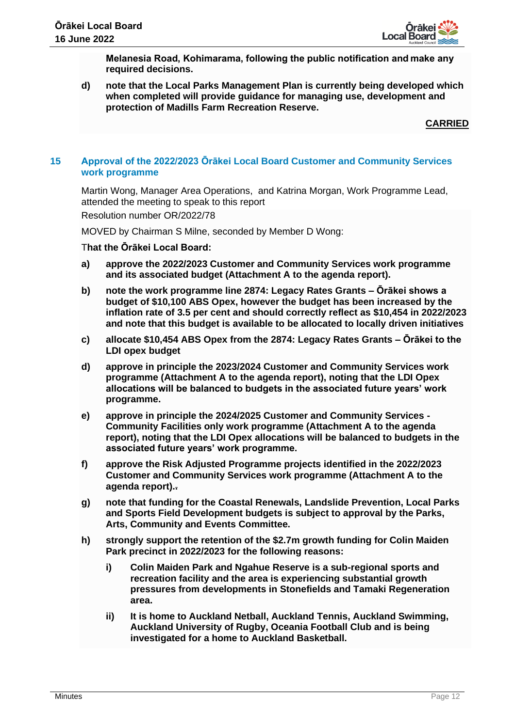

**Melanesia Road, Kohimarama, following the public notification and make any required decisions.** 

**d) note that the Local Parks Management Plan is currently being developed which when completed will provide guidance for managing use, development and protection of Madills Farm Recreation Reserve.**

**CARRIED**

# **15 Approval of the 2022/2023 Ōrākei Local Board Customer and Community Services work programme**

Martin Wong, Manager Area Operations, and Katrina Morgan, Work Programme Lead, attended the meeting to speak to this report

Resolution number OR/2022/78

MOVED by Chairman S Milne, seconded by Member D Wong:

- **a) approve the 2022/2023 Customer and Community Services work programme and its associated budget (Attachment A to the agenda report).**
- **b) note the work programme line 2874: Legacy Rates Grants – Ōrākei shows a budget of \$10,100 ABS Opex, however the budget has been increased by the inflation rate of 3.5 per cent and should correctly reflect as \$10,454 in 2022/2023 and note that this budget is available to be allocated to locally driven initiatives**
- **c) allocate \$10,454 ABS Opex from the 2874: Legacy Rates Grants – Ōrākei to the LDI opex budget**
- **d) approve in principle the 2023/2024 Customer and Community Services work programme (Attachment A to the agenda report), noting that the LDI Opex allocations will be balanced to budgets in the associated future years' work programme.**
- **e) approve in principle the 2024/2025 Customer and Community Services - Community Facilities only work programme (Attachment A to the agenda report), noting that the LDI Opex allocations will be balanced to budgets in the associated future years' work programme.**
- **f) approve the Risk Adjusted Programme projects identified in the 2022/2023 Customer and Community Services work programme (Attachment A to the agenda report)..**
- **g) note that funding for the Coastal Renewals, Landslide Prevention, Local Parks and Sports Field Development budgets is subject to approval by the Parks, Arts, Community and Events Committee.**
- **h) strongly support the retention of the \$2.7m growth funding for Colin Maiden Park precinct in 2022/2023 for the following reasons:**
	- **i) Colin Maiden Park and Ngahue Reserve is a sub-regional sports and recreation facility and the area is experiencing substantial growth pressures from developments in Stonefields and Tamaki Regeneration area.**
	- **ii) It is home to Auckland Netball, Auckland Tennis, Auckland Swimming, Auckland University of Rugby, Oceania Football Club and is being investigated for a home to Auckland Basketball.**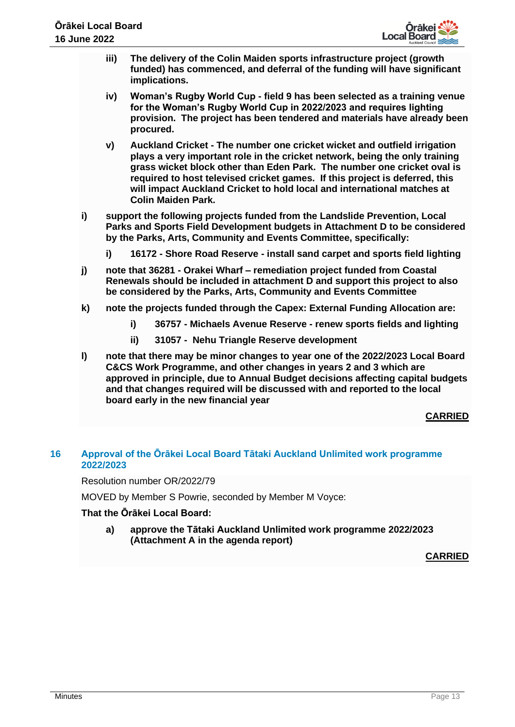

- **iii) The delivery of the Colin Maiden sports infrastructure project (growth funded) has commenced, and deferral of the funding will have significant implications.**
- **iv) Woman's Rugby World Cup - field 9 has been selected as a training venue for the Woman's Rugby World Cup in 2022/2023 and requires lighting provision. The project has been tendered and materials have already been procured.**
- **v) Auckland Cricket - The number one cricket wicket and outfield irrigation plays a very important role in the cricket network, being the only training grass wicket block other than Eden Park. The number one cricket oval is required to host televised cricket games. If this project is deferred, this will impact Auckland Cricket to hold local and international matches at Colin Maiden Park.**
- **i) support the following projects funded from the Landslide Prevention, Local Parks and Sports Field Development budgets in Attachment D to be considered by the Parks, Arts, Community and Events Committee, specifically:** 
	- **i) 16172 - Shore Road Reserve - install sand carpet and sports field lighting**
- **j) note that 36281 - Orakei Wharf – remediation project funded from Coastal Renewals should be included in attachment D and support this project to also be considered by the Parks, Arts, Community and Events Committee**
- **k) note the projects funded through the Capex: External Funding Allocation are:**
	- **i) 36757 - Michaels Avenue Reserve - renew sports fields and lighting**
	- **ii) 31057 Nehu Triangle Reserve development**
- **l) note that there may be minor changes to year one of the 2022/2023 Local Board C&CS Work Programme, and other changes in years 2 and 3 which are approved in principle, due to Annual Budget decisions affecting capital budgets and that changes required will be discussed with and reported to the local board early in the new financial year**

# **CARRIED**

# **16 Approval of the Ōrākei Local Board Tātaki Auckland Unlimited work programme 2022/2023**

Resolution number OR/2022/79

MOVED by Member S Powrie, seconded by Member M Voyce:

# **That the Ōrākei Local Board:**

**a) approve the Tātaki Auckland Unlimited work programme 2022/2023 (Attachment A in the agenda report)**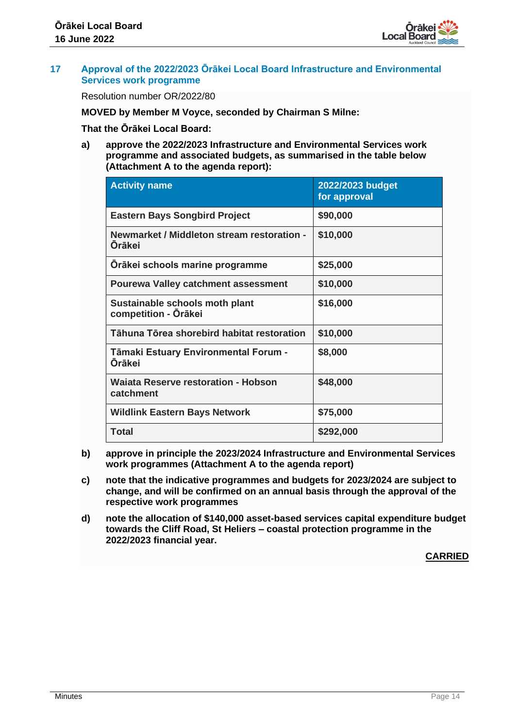

#### **17 Approval of the 2022/2023 Ōrākei Local Board Infrastructure and Environmental Services work programme**

Resolution number OR/2022/80

**MOVED by Member M Voyce, seconded by Chairman S Milne:** 

**That the Ōrākei Local Board:**

**a) approve the 2022/2023 Infrastructure and Environmental Services work programme and associated budgets, as summarised in the table below (Attachment A to the agenda report):**

| <b>Activity name</b>                                        | 2022/2023 budget<br>for approval |
|-------------------------------------------------------------|----------------------------------|
| <b>Eastern Bays Songbird Project</b>                        | \$90,000                         |
| Newmarket / Middleton stream restoration -<br><b>Öräkei</b> | \$10,000                         |
| Orākei schools marine programme                             | \$25,000                         |
| <b>Pourewa Valley catchment assessment</b>                  | \$10,000                         |
| Sustainable schools moth plant<br>competition - Ōrākei      | \$16,000                         |
| Tāhuna Tōrea shorebird habitat restoration                  | \$10,000                         |
| Tāmaki Estuary Environmental Forum -<br>Orākei              | \$8,000                          |
| <b>Waiata Reserve restoration - Hobson</b><br>catchment     | \$48,000                         |
| <b>Wildlink Eastern Bays Network</b>                        | \$75,000                         |
| Total                                                       | \$292,000                        |

- **b) approve in principle the 2023/2024 Infrastructure and Environmental Services work programmes (Attachment A to the agenda report)**
- **c) note that the indicative programmes and budgets for 2023/2024 are subject to change, and will be confirmed on an annual basis through the approval of the respective work programmes**
- **d) note the allocation of \$140,000 asset-based services capital expenditure budget towards the Cliff Road, St Heliers – coastal protection programme in the 2022/2023 financial year.**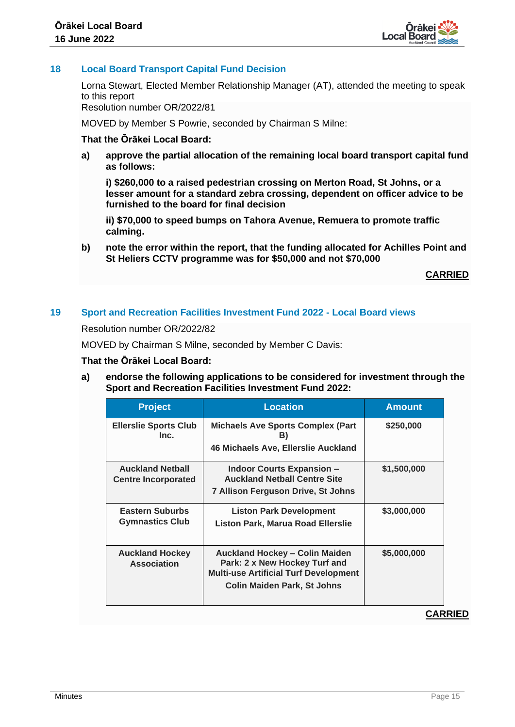

# **18 Local Board Transport Capital Fund Decision**

Lorna Stewart, Elected Member Relationship Manager (AT), attended the meeting to speak to this report

Resolution number OR/2022/81

MOVED by Member S Powrie, seconded by Chairman S Milne:

# **That the Ōrākei Local Board:**

**a) approve the partial allocation of the remaining local board transport capital fund as follows:**

**i) \$260,000 to a raised pedestrian crossing on Merton Road, St Johns, or a lesser amount for a standard zebra crossing, dependent on officer advice to be furnished to the board for final decision** 

**ii) \$70,000 to speed bumps on Tahora Avenue, Remuera to promote traffic calming.** 

**b) note the error within the report, that the funding allocated for Achilles Point and St Heliers CCTV programme was for \$50,000 and not \$70,000**

**CARRIED**

#### **19 Sport and Recreation Facilities Investment Fund 2022 - Local Board views**

Resolution number OR/2022/82

MOVED by Chairman S Milne, seconded by Member C Davis:

#### **That the Ōrākei Local Board:**

**a) endorse the following applications to be considered for investment through the Sport and Recreation Facilities Investment Fund 2022:**

| <b>Project</b>                                        | <b>Location</b>                                                                                                                                              | <b>Amount</b> |
|-------------------------------------------------------|--------------------------------------------------------------------------------------------------------------------------------------------------------------|---------------|
| <b>Ellerslie Sports Club</b><br>Inc.                  | <b>Michaels Ave Sports Complex (Part</b><br>B)<br>46 Michaels Ave, Ellerslie Auckland                                                                        | \$250,000     |
| <b>Auckland Netball</b><br><b>Centre Incorporated</b> | <b>Indoor Courts Expansion -</b><br><b>Auckland Netball Centre Site</b><br>7 Allison Ferguson Drive, St Johns                                                | \$1,500,000   |
| <b>Eastern Suburbs</b><br><b>Gymnastics Club</b>      | <b>Liston Park Development</b><br><b>Liston Park, Marua Road Ellerslie</b>                                                                                   | \$3,000,000   |
| <b>Auckland Hockey</b><br><b>Association</b>          | <b>Auckland Hockey - Colin Maiden</b><br>Park: 2 x New Hockey Turf and<br><b>Multi-use Artificial Turf Development</b><br><b>Colin Maiden Park, St Johns</b> | \$5,000,000   |
|                                                       |                                                                                                                                                              | 8 D           |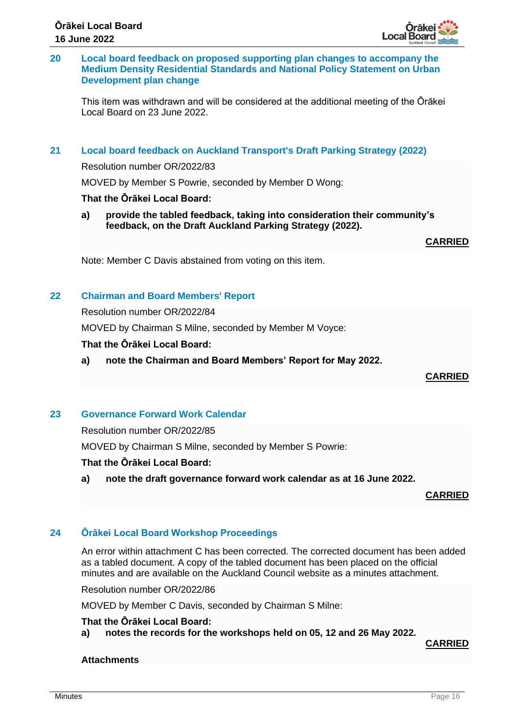# **20 Local board feedback on proposed supporting plan changes to accompany the Medium Density Residential Standards and National Policy Statement on Urban Development plan change**

This item was withdrawn and will be considered at the additional meeting of the Ōrākei Local Board on 23 June 2022.

# **21 Local board feedback on Auckland Transport's Draft Parking Strategy (2022)**

Resolution number OR/2022/83

MOVED by Member S Powrie, seconded by Member D Wong:

# **That the Ōrākei Local Board:**

**a) provide the tabled feedback, taking into consideration their community's feedback, on the Draft Auckland Parking Strategy (2022).**

**CARRIED**

Note: Member C Davis abstained from voting on this item.

# **22 Chairman and Board Members' Report**

Resolution number OR/2022/84

MOVED by Chairman S Milne, seconded by Member M Voyce:

#### **That the Ōrākei Local Board:**

**a) note the Chairman and Board Members' Report for May 2022.**

**CARRIED**

# **23 Governance Forward Work Calendar**

Resolution number OR/2022/85

MOVED by Chairman S Milne, seconded by Member S Powrie:

# **That the Ōrākei Local Board:**

**a) note the draft governance forward work calendar as at 16 June 2022.**

**CARRIED**

# **24 Ōrākei Local Board Workshop Proceedings**

An error within attachment C has been corrected. The corrected document has been added as a tabled document. A copy of the tabled document has been placed on the official minutes and are available on the Auckland Council website as a minutes attachment.

Resolution number OR/2022/86

MOVED by Member C Davis, seconded by Chairman S Milne:

# **That the Ōrākei Local Board:**

**a) notes the records for the workshops held on 05, 12 and 26 May 2022.**

**CARRIED**

#### **Attachments**

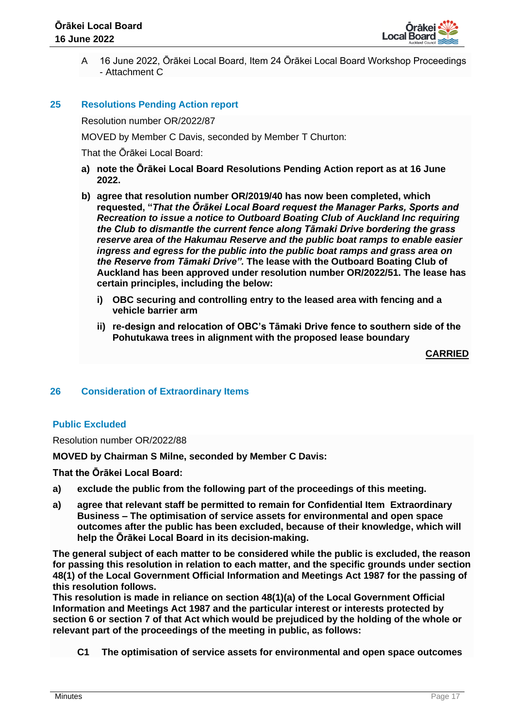

A 16 June 2022, Ōrākei Local Board, Item 24 Ōrākei Local Board Workshop Proceedings - Attachment C

#### **25 Resolutions Pending Action report**

Resolution number OR/2022/87

MOVED by Member C Davis, seconded by Member T Churton:

That the Ōrākei Local Board:

- **a) note the Ōrākei Local Board Resolutions Pending Action report as at 16 June 2022.**
- **b) agree that resolution number OR/2019/40 has now been completed, which requested, "***That the Ōrākei Local Board request the Manager Parks, Sports and Recreation to issue a notice to Outboard Boating Club of Auckland Inc requiring the Club to dismantle the current fence along Tāmaki Drive bordering the grass reserve area of the Hakumau Reserve and the public boat ramps to enable easier ingress and egress for the public into the public boat ramps and grass area on the Reserve from Tāmaki Drive".* **The lease with the Outboard Boating Club of Auckland has been approved under resolution number OR/2022/51. The lease has certain principles, including the below:**
	- **i) OBC securing and controlling entry to the leased area with fencing and a vehicle barrier arm**
	- **ii) re-design and relocation of OBC's Tāmaki Drive fence to southern side of the Pohutukawa trees in alignment with the proposed lease boundary**

**CARRIED**

#### **26 Consideration of Extraordinary Items**

#### **Public Excluded**

Resolution number OR/2022/88

**MOVED by Chairman S Milne, seconded by Member C Davis:** 

**That the Ōrākei Local Board:**

- **a) exclude the public from the following part of the proceedings of this meeting.**
- **a) agree that relevant staff be permitted to remain for Confidential Item Extraordinary Business – The optimisation of service assets for environmental and open space outcomes after the public has been excluded, because of their knowledge, which will help the Ōrākei Local Board in its decision-making.**

**The general subject of each matter to be considered while the public is excluded, the reason for passing this resolution in relation to each matter, and the specific grounds under section 48(1) of the Local Government Official Information and Meetings Act 1987 for the passing of this resolution follows.** 

**This resolution is made in reliance on section 48(1)(a) of the Local Government Official Information and Meetings Act 1987 and the particular interest or interests protected by section 6 or section 7 of that Act which would be prejudiced by the holding of the whole or relevant part of the proceedings of the meeting in public, as follows:**

**C1 The optimisation of service assets for environmental and open space outcomes**